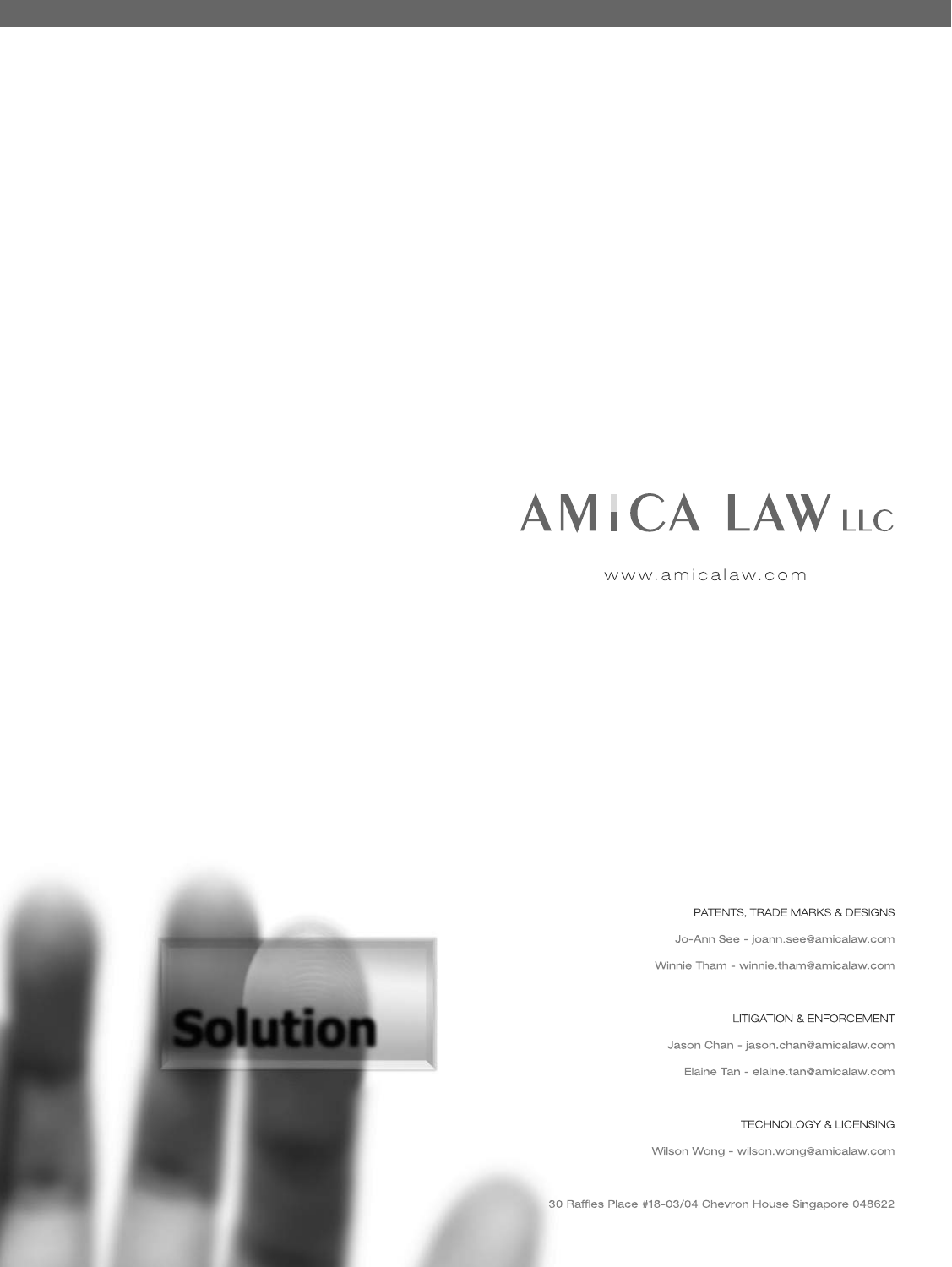## **AMICA LAWLLC**

www.amicalaw.com

PATENTS, TRADE MARKS & DESIGNS

Jo-Ann See - joann.see@amicalaw.com

Winnie Tham - winnie.tham@amicalaw.com

**LITIGATION & ENFORCEMENT** 

Jason Chan - jason.chan@amicalaw.com Elaine Tan - elaine.tan@amicalaw.com

TECHNOLOGY & LICENSING

Wilson Wong - wilson.wong@amicalaw.com

30 Raffles Place #18-03/04 Chevron House Singapore 048622

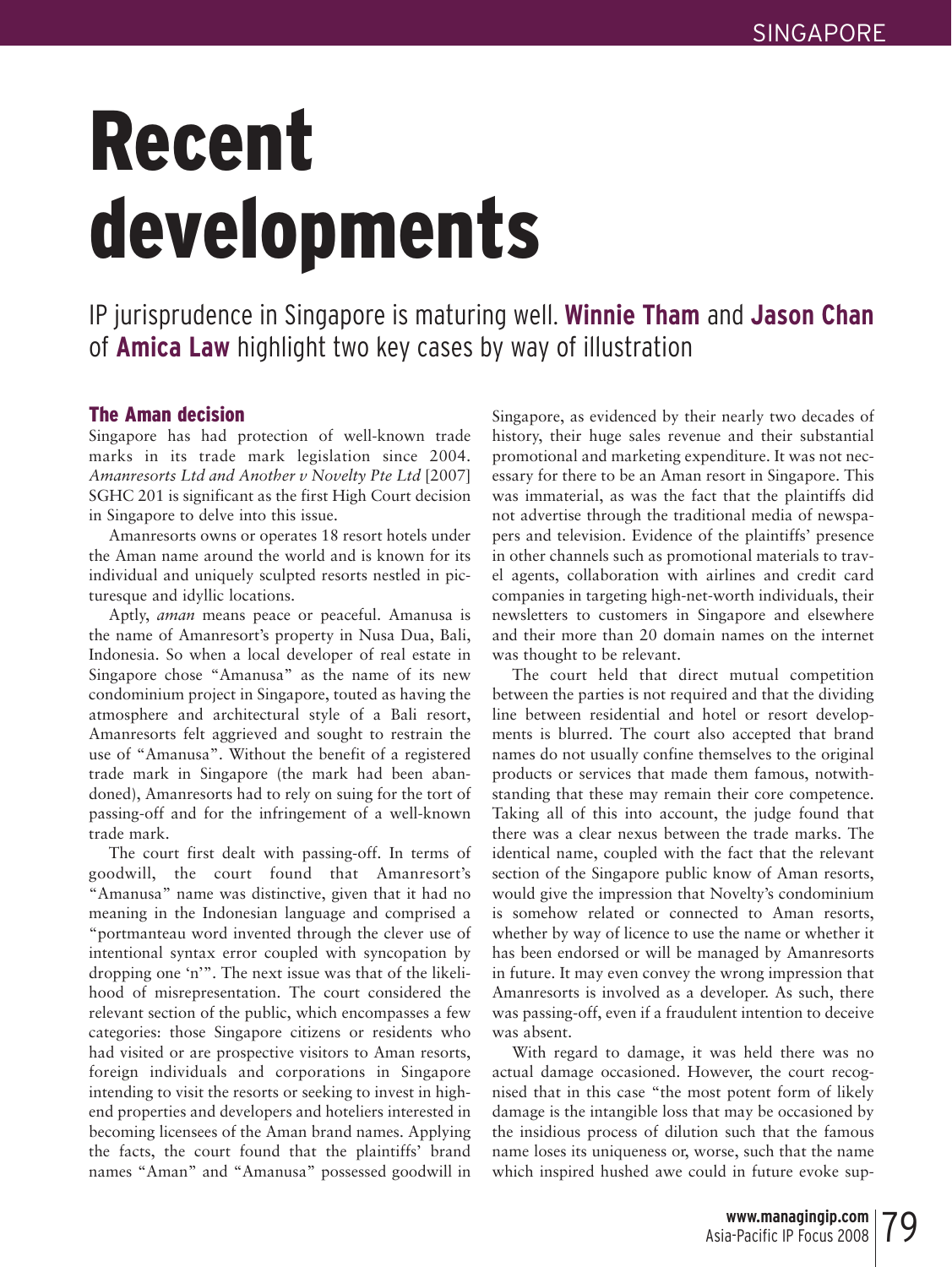# Recent developments

IP jurisprudence in Singapore is maturing well. **Winnie Tham** and **Jason Chan** of **Amica Law** highlight two key cases by way of illustration

#### The Aman decision

Singapore has had protection of well-known trade marks in its trade mark legislation since 2004. *Amanresorts Ltd and Another v Novelty Pte Ltd* [2007] SGHC 201 is significant as the first High Court decision in Singapore to delve into this issue.

Amanresorts owns or operates 18 resort hotels under the Aman name around the world and is known for its individual and uniquely sculpted resorts nestled in picturesque and idyllic locations.

Aptly, *aman* means peace or peaceful. Amanusa is the name of Amanresort's property in Nusa Dua, Bali, Indonesia. So when a local developer of real estate in Singapore chose "Amanusa" as the name of its new condominium project in Singapore, touted as having the atmosphere and architectural style of a Bali resort, Amanresorts felt aggrieved and sought to restrain the use of "Amanusa". Without the benefit of a registered trade mark in Singapore (the mark had been abandoned), Amanresorts had to rely on suing for the tort of passing-off and for the infringement of a well-known trade mark.

The court first dealt with passing-off. In terms of goodwill, the court found that Amanresort's "Amanusa" name was distinctive, given that it had no meaning in the Indonesian language and comprised a "portmanteau word invented through the clever use of intentional syntax error coupled with syncopation by dropping one 'n'". The next issue was that of the likelihood of misrepresentation. The court considered the relevant section of the public, which encompasses a few categories: those Singapore citizens or residents who had visited or are prospective visitors to Aman resorts, foreign individuals and corporations in Singapore intending to visit the resorts or seeking to invest in highend properties and developers and hoteliers interested in becoming licensees of the Aman brand names. Applying the facts, the court found that the plaintiffs' brand names "Aman" and "Amanusa" possessed goodwill in Singapore, as evidenced by their nearly two decades of history, their huge sales revenue and their substantial promotional and marketing expenditure. It was not necessary for there to be an Aman resort in Singapore. This was immaterial, as was the fact that the plaintiffs did not advertise through the traditional media of newspapers and television. Evidence of the plaintiffs' presence in other channels such as promotional materials to travel agents, collaboration with airlines and credit card companies in targeting high-net-worth individuals, their newsletters to customers in Singapore and elsewhere and their more than 20 domain names on the internet was thought to be relevant.

The court held that direct mutual competition between the parties is not required and that the dividing line between residential and hotel or resort developments is blurred. The court also accepted that brand names do not usually confine themselves to the original products or services that made them famous, notwithstanding that these may remain their core competence. Taking all of this into account, the judge found that there was a clear nexus between the trade marks. The identical name, coupled with the fact that the relevant section of the Singapore public know of Aman resorts, would give the impression that Novelty's condominium is somehow related or connected to Aman resorts, whether by way of licence to use the name or whether it has been endorsed or will be managed by Amanresorts in future. It may even convey the wrong impression that Amanresorts is involved as a developer. As such, there was passing-off, even if a fraudulent intention to deceive was absent.

With regard to damage, it was held there was no actual damage occasioned. However, the court recognised that in this case "the most potent form of likely damage is the intangible loss that may be occasioned by the insidious process of dilution such that the famous name loses its uniqueness or, worse, such that the name which inspired hushed awe could in future evoke sup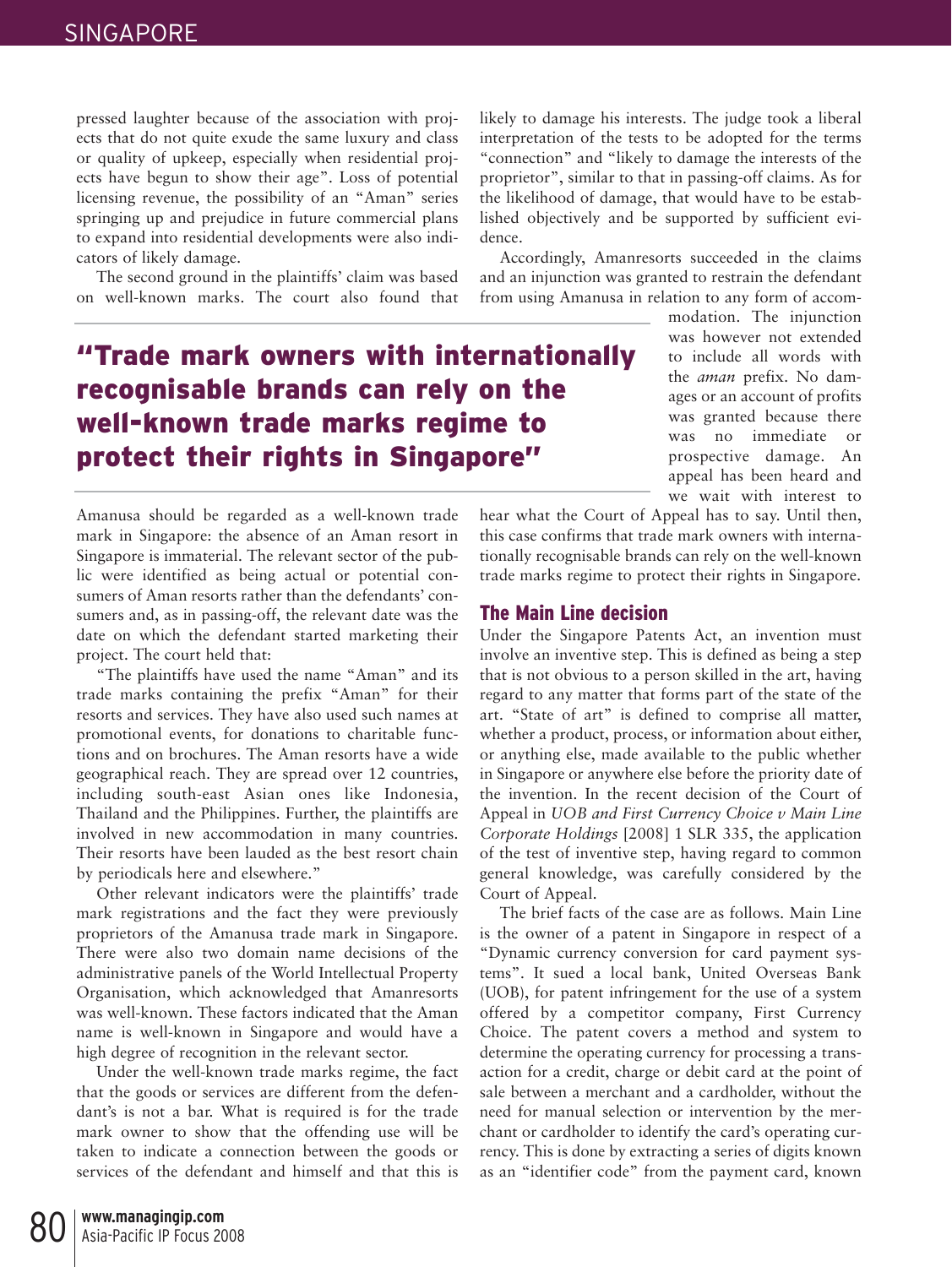pressed laughter because of the association with projects that do not quite exude the same luxury and class or quality of upkeep, especially when residential projects have begun to show their age". Loss of potential licensing revenue, the possibility of an "Aman" series springing up and prejudice in future commercial plans to expand into residential developments were also indicators of likely damage.

The second ground in the plaintiffs' claim was based on well-known marks. The court also found that

"Trade mark owners with internationally recognisable brands can rely on the well-known trade marks regime to protect their rights in Singapore"

Amanusa should be regarded as a well-known trade mark in Singapore: the absence of an Aman resort in Singapore is immaterial. The relevant sector of the public were identified as being actual or potential consumers of Aman resorts rather than the defendants' consumers and, as in passing-off, the relevant date was the date on which the defendant started marketing their project. The court held that:

"The plaintiffs have used the name "Aman" and its trade marks containing the prefix "Aman" for their resorts and services. They have also used such names at promotional events, for donations to charitable functions and on brochures. The Aman resorts have a wide geographical reach. They are spread over 12 countries, including south-east Asian ones like Indonesia, Thailand and the Philippines. Further, the plaintiffs are involved in new accommodation in many countries. Their resorts have been lauded as the best resort chain by periodicals here and elsewhere."

Other relevant indicators were the plaintiffs' trade mark registrations and the fact they were previously proprietors of the Amanusa trade mark in Singapore. There were also two domain name decisions of the administrative panels of the World Intellectual Property Organisation, which acknowledged that Amanresorts was well-known. These factors indicated that the Aman name is well-known in Singapore and would have a high degree of recognition in the relevant sector.

Under the well-known trade marks regime, the fact that the goods or services are different from the defendant's is not a bar. What is required is for the trade mark owner to show that the offending use will be taken to indicate a connection between the goods or services of the defendant and himself and that this is likely to damage his interests. The judge took a liberal interpretation of the tests to be adopted for the terms "connection" and "likely to damage the interests of the proprietor", similar to that in passing-off claims. As for the likelihood of damage, that would have to be established objectively and be supported by sufficient evidence.

Accordingly, Amanresorts succeeded in the claims and an injunction was granted to restrain the defendant from using Amanusa in relation to any form of accom-

modation. The injunction was however not extended to include all words with the *aman* prefix. No damages or an account of profits was granted because there was no immediate or prospective damage. An appeal has been heard and we wait with interest to

hear what the Court of Appeal has to say. Until then, this case confirms that trade mark owners with internationally recognisable brands can rely on the well-known trade marks regime to protect their rights in Singapore.

#### The Main Line decision

Under the Singapore Patents Act, an invention must involve an inventive step. This is defined as being a step that is not obvious to a person skilled in the art, having regard to any matter that forms part of the state of the art. "State of art" is defined to comprise all matter, whether a product, process, or information about either, or anything else, made available to the public whether in Singapore or anywhere else before the priority date of the invention. In the recent decision of the Court of Appeal in *UOB and First Currency Choice v Main Line Corporate Holdings* [2008] 1 SLR 335, the application of the test of inventive step, having regard to common general knowledge, was carefully considered by the Court of Appeal.

The brief facts of the case are as follows. Main Line is the owner of a patent in Singapore in respect of a "Dynamic currency conversion for card payment systems". It sued a local bank, United Overseas Bank (UOB), for patent infringement for the use of a system offered by a competitor company, First Currency Choice. The patent covers a method and system to determine the operating currency for processing a transaction for a credit, charge or debit card at the point of sale between a merchant and a cardholder, without the need for manual selection or intervention by the merchant or cardholder to identify the card's operating currency. This is done by extracting a series of digits known as an "identifier code" from the payment card, known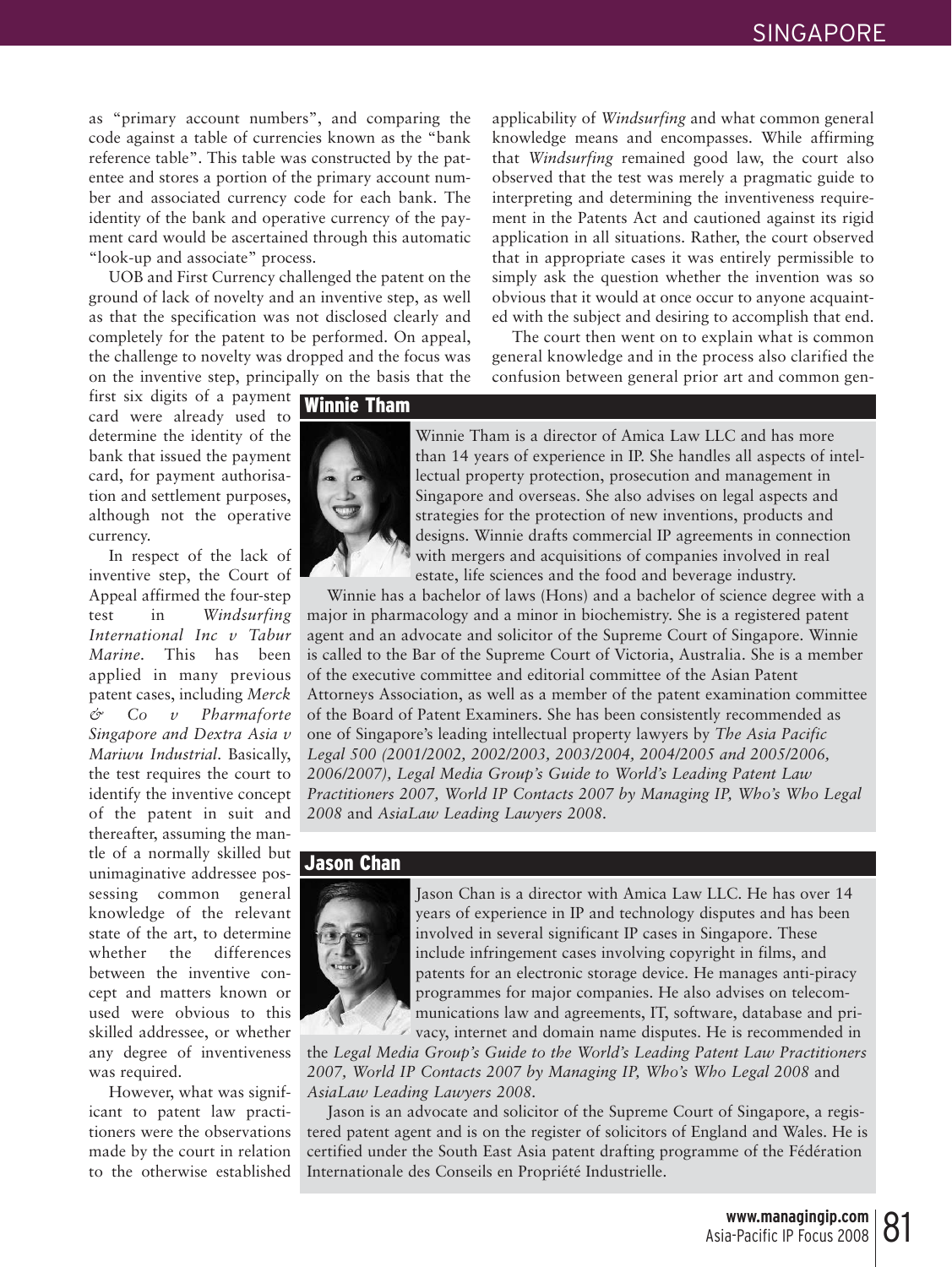as "primary account numbers", and comparing the code against a table of currencies known as the "bank reference table". This table was constructed by the patentee and stores a portion of the primary account number and associated currency code for each bank. The identity of the bank and operative currency of the payment card would be ascertained through this automatic "look-up and associate" process.

UOB and First Currency challenged the patent on the ground of lack of novelty and an inventive step, as well as that the specification was not disclosed clearly and completely for the patent to be performed. On appeal, the challenge to novelty was dropped and the focus was on the inventive step, principally on the basis that the applicability of *Windsurfing* and what common general knowledge means and encompasses. While affirming that *Windsurfing* remained good law, the court also observed that the test was merely a pragmatic guide to interpreting and determining the inventiveness requirement in the Patents Act and cautioned against its rigid application in all situations. Rather, the court observed that in appropriate cases it was entirely permissible to simply ask the question whether the invention was so obvious that it would at once occur to anyone acquainted with the subject and desiring to accomplish that end.

The court then went on to explain what is common general knowledge and in the process also clarified the confusion between general prior art and common gen-

first six digits of a payment card were already used to determine the identity of the bank that issued the payment card, for payment authorisation and settlement purposes, although not the operative currency.

In respect of the lack of inventive step, the Court of Appeal affirmed the four-step test in *Windsurfing International Inc v Tabur Marine.* This has been applied in many previous patent cases, including *Merck & Co v Pharmaforte Singapore and Dextra Asia v Mariwu Industrial*. Basically, the test requires the court to identify the inventive concept of the patent in suit and thereafter, assuming the mantle of a normally skilled but unimaginative addressee possessing common general knowledge of the relevant state of the art, to determine whether the differences between the inventive concept and matters known or used were obvious to this skilled addressee, or whether any degree of inventiveness was required.

However, what was significant to patent law practitioners were the observations made by the court in relation to the otherwise established

#### Winnie Tham



Winnie Tham is a director of Amica Law LLC and has more than 14 years of experience in IP. She handles all aspects of intellectual property protection, prosecution and management in Singapore and overseas. She also advises on legal aspects and strategies for the protection of new inventions, products and designs. Winnie drafts commercial IP agreements in connection with mergers and acquisitions of companies involved in real estate, life sciences and the food and beverage industry.

Winnie has a bachelor of laws (Hons) and a bachelor of science degree with a major in pharmacology and a minor in biochemistry. She is a registered patent agent and an advocate and solicitor of the Supreme Court of Singapore. Winnie is called to the Bar of the Supreme Court of Victoria, Australia. She is a member of the executive committee and editorial committee of the Asian Patent Attorneys Association, as well as a member of the patent examination committee of the Board of Patent Examiners. She has been consistently recommended as one of Singapore's leading intellectual property lawyers by *The Asia Pacific Legal 500 (2001/2002, 2002/2003, 2003/2004, 2004/2005 and 2005/2006, 2006/2007), Legal Media Group's Guide to World's Leading Patent Law Practitioners 2007, World IP Contacts 2007 by Managing IP, Who's Who Legal 2008* and *AsiaLaw Leading Lawyers 2008.*

#### Jason Chan



Jason Chan is a director with Amica Law LLC. He has over 14 years of experience in IP and technology disputes and has been involved in several significant IP cases in Singapore. These include infringement cases involving copyright in films, and patents for an electronic storage device. He manages anti-piracy programmes for major companies. He also advises on telecommunications law and agreements, IT, software, database and privacy, internet and domain name disputes. He is recommended in

the *Legal Media Group's Guide to the World's Leading Patent Law Practitioners 2007, World IP Contacts 2007 by Managing IP, Who's Who Legal 2008* and *AsiaLaw Leading Lawyers 2008.*

Jason is an advocate and solicitor of the Supreme Court of Singapore, a registered patent agent and is on the register of solicitors of England and Wales. He is certified under the South East Asia patent drafting programme of the Fédération Internationale des Conseils en Propriété Industrielle.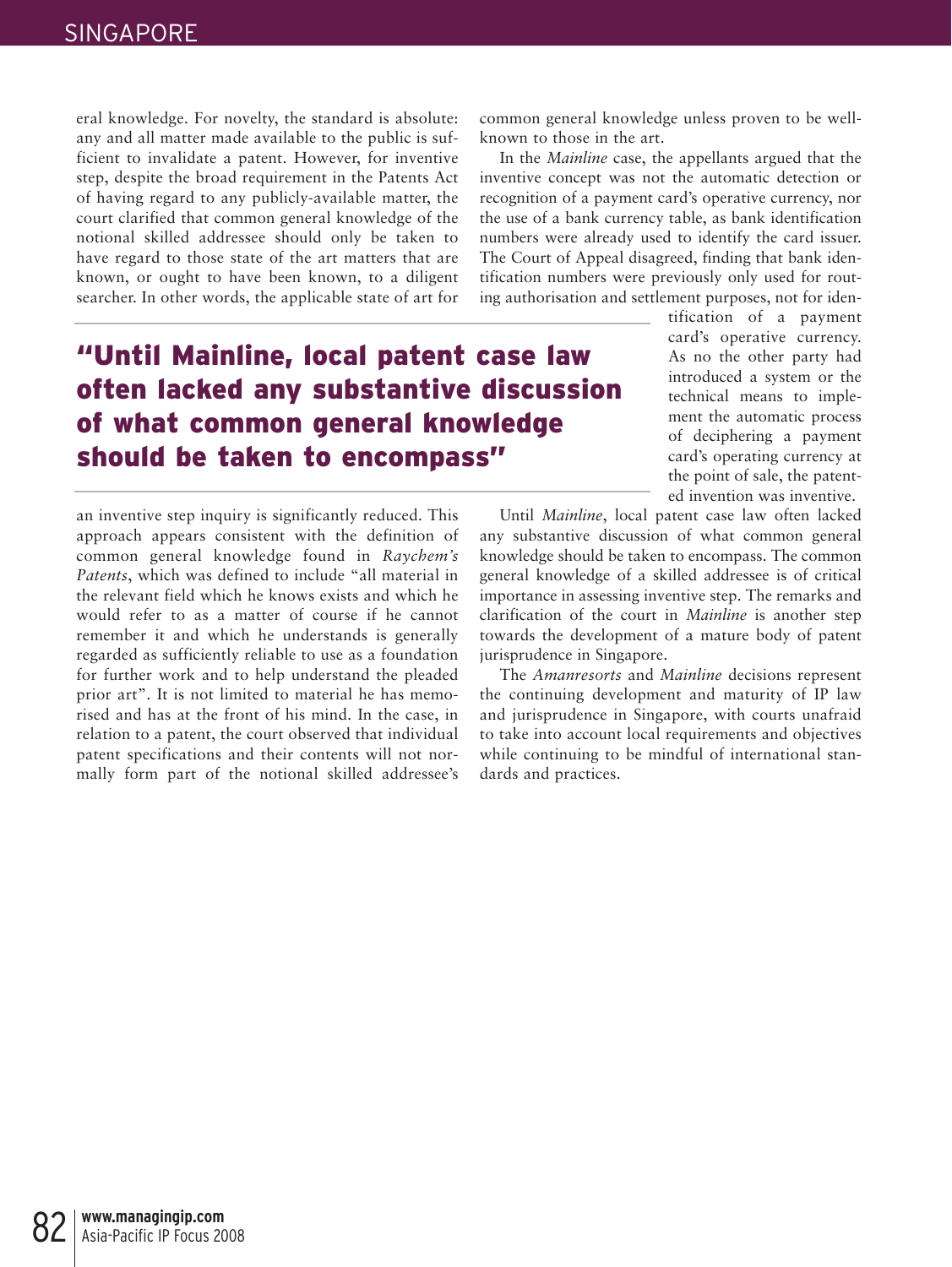eral knowledge. For novelty, the standard is absolute: any and all matter made available to the public is sufficient to invalidate a patent. However, for inventive step, despite the broad requirement in the Patents Act of having regard to any publicly-available matter, the court clarified that common general knowledge of the notional skilled addressee should only be taken to have regard to those state of the art matters that are known, or ought to have been known, to a diligent searcher. In other words, the applicable state of art for

### "Until Mainline, local patent case law often lacked any substantive discussion of what common general knowledge should be taken to encompass"

an inventive step inquiry is significantly reduced. This approach appears consistent with the definition of common general knowledge found in *Raychem's Patents*, which was defined to include "all material in the relevant field which he knows exists and which he would refer to as a matter of course if he cannot remember it and which he understands is generally regarded as sufficiently reliable to use as a foundation for further work and to help understand the pleaded prior art". It is not limited to material he has memorised and has at the front of his mind. In the case, in relation to a patent, the court observed that individual patent specifications and their contents will not normally form part of the notional skilled addressee's common general knowledge unless proven to be wellknown to those in the art.

In the *Mainline* case, the appellants argued that the inventive concept was not the automatic detection or recognition of a payment card's operative currency, nor the use of a bank currency table, as bank identification numbers were already used to identify the card issuer. The Court of Appeal disagreed, finding that bank identification numbers were previously only used for routing authorisation and settlement purposes, not for iden-

tification of a payment card's operative currency. As no the other party had introduced a system or the technical means to implement the automatic process of deciphering a payment card's operating currency at the point of sale, the patented invention was inventive.

Until *Mainline*, local patent case law often lacked any substantive discussion of what common general knowledge should be taken to encompass. The common general knowledge of a skilled addressee is of critical importance in assessing inventive step. The remarks and clarification of the court in *Mainline* is another step towards the development of a mature body of patent jurisprudence in Singapore.

The *Amanresorts* and *Mainline* decisions represent the continuing development and maturity of IP law and jurisprudence in Singapore, with courts unafraid to take into account local requirements and objectives while continuing to be mindful of international standards and practices.